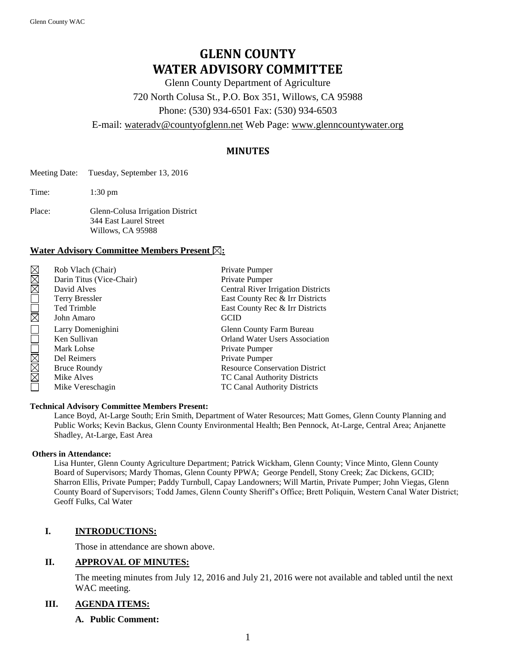# **GLENN COUNTY WATER ADVISORY COMMITTEE**

Glenn County Department of Agriculture 720 North Colusa St., P.O. Box 351, Willows, CA 95988 Phone: (530) 934-6501 Fax: (530) 934-6503

E-mail: [wateradv@countyofglenn.net](mailto:wateradv@countyofglenn.net) Web Page: [www.glenncountywater.org](http://www.glenncountywater.org/)

# **MINUTES**

- Meeting Date: Tuesday, September 13, 2016
- Time: 1:30 pm
- Place: Glenn-Colusa Irrigation District 344 East Laurel Street Willows, CA 95988

# Water Advisory Committee Members Present  $\boxtimes$ :

| MMM         | Rob Vlach (Chair)        | Private Pumper                            |
|-------------|--------------------------|-------------------------------------------|
|             | Darin Titus (Vice-Chair) | Private Pumper                            |
|             | David Alves              | <b>Central River Irrigation Districts</b> |
|             | <b>Terry Bressler</b>    | East County Rec & Irr Districts           |
|             | <b>Ted Trimble</b>       | East County Rec & Irr Districts           |
| $\boxtimes$ | John Amaro               | <b>GCID</b>                               |
|             | Larry Domenighini        | Glenn County Farm Bureau                  |
|             | Ken Sullivan             | <b>Orland Water Users Association</b>     |
|             | Mark Lohse               | Private Pumper                            |
|             | Del Reimers              | Private Pumper                            |
| XXX         | <b>Bruce Roundy</b>      | <b>Resource Conservation District</b>     |
|             | Mike Alves               | <b>TC Canal Authority Districts</b>       |
|             | Mike Vereschagin         | <b>TC Canal Authority Districts</b>       |

#### **Technical Advisory Committee Members Present:**

Lance Boyd, At-Large South; Erin Smith, Department of Water Resources; Matt Gomes, Glenn County Planning and Public Works; Kevin Backus, Glenn County Environmental Health; Ben Pennock, At-Large, Central Area; Anjanette Shadley, At-Large, East Area

#### **Others in Attendance:**

Lisa Hunter, Glenn County Agriculture Department; Patrick Wickham, Glenn County; Vince Minto, Glenn County Board of Supervisors; Mardy Thomas, Glenn County PPWA; George Pendell, Stony Creek; Zac Dickens, GCID; Sharron Ellis, Private Pumper; Paddy Turnbull, Capay Landowners; Will Martin, Private Pumper; John Viegas, Glenn County Board of Supervisors; Todd James, Glenn County Sheriff's Office; Brett Poliquin, Western Canal Water District; Geoff Fulks, Cal Water

# **I. INTRODUCTIONS:**

Those in attendance are shown above.

#### **II. APPROVAL OF MINUTES:**

The meeting minutes from July 12, 2016 and July 21, 2016 were not available and tabled until the next WAC meeting.

## **III. AGENDA ITEMS:**

# **A. Public Comment:**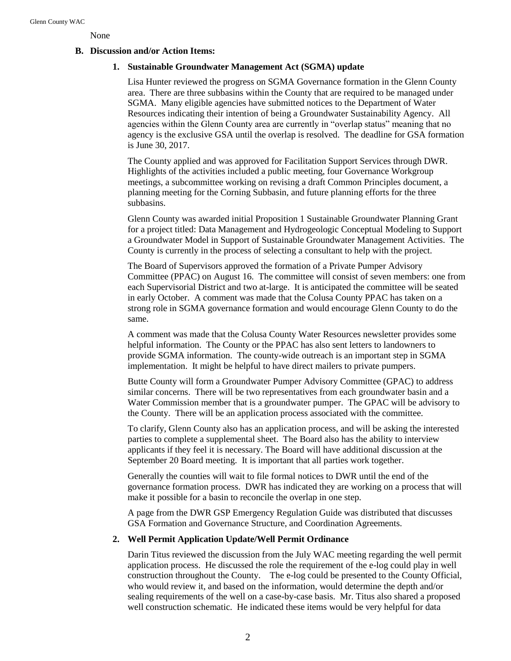None

# **B. Discussion and/or Action Items:**

# **1. Sustainable Groundwater Management Act (SGMA) update**

Lisa Hunter reviewed the progress on SGMA Governance formation in the Glenn County area. There are three subbasins within the County that are required to be managed under SGMA. Many eligible agencies have submitted notices to the Department of Water Resources indicating their intention of being a Groundwater Sustainability Agency. All agencies within the Glenn County area are currently in "overlap status" meaning that no agency is the exclusive GSA until the overlap is resolved. The deadline for GSA formation is June 30, 2017.

The County applied and was approved for Facilitation Support Services through DWR. Highlights of the activities included a public meeting, four Governance Workgroup meetings, a subcommittee working on revising a draft Common Principles document, a planning meeting for the Corning Subbasin, and future planning efforts for the three subbasins.

Glenn County was awarded initial Proposition 1 Sustainable Groundwater Planning Grant for a project titled: Data Management and Hydrogeologic Conceptual Modeling to Support a Groundwater Model in Support of Sustainable Groundwater Management Activities. The County is currently in the process of selecting a consultant to help with the project.

The Board of Supervisors approved the formation of a Private Pumper Advisory Committee (PPAC) on August 16. The committee will consist of seven members: one from each Supervisorial District and two at-large. It is anticipated the committee will be seated in early October. A comment was made that the Colusa County PPAC has taken on a strong role in SGMA governance formation and would encourage Glenn County to do the same.

A comment was made that the Colusa County Water Resources newsletter provides some helpful information. The County or the PPAC has also sent letters to landowners to provide SGMA information. The county-wide outreach is an important step in SGMA implementation. It might be helpful to have direct mailers to private pumpers.

Butte County will form a Groundwater Pumper Advisory Committee (GPAC) to address similar concerns. There will be two representatives from each groundwater basin and a Water Commission member that is a groundwater pumper. The GPAC will be advisory to the County. There will be an application process associated with the committee.

To clarify, Glenn County also has an application process, and will be asking the interested parties to complete a supplemental sheet. The Board also has the ability to interview applicants if they feel it is necessary. The Board will have additional discussion at the September 20 Board meeting. It is important that all parties work together.

Generally the counties will wait to file formal notices to DWR until the end of the governance formation process. DWR has indicated they are working on a process that will make it possible for a basin to reconcile the overlap in one step.

A page from the DWR GSP Emergency Regulation Guide was distributed that discusses GSA Formation and Governance Structure, and Coordination Agreements.

# **2. Well Permit Application Update/Well Permit Ordinance**

Darin Titus reviewed the discussion from the July WAC meeting regarding the well permit application process. He discussed the role the requirement of the e-log could play in well construction throughout the County. The e-log could be presented to the County Official, who would review it, and based on the information, would determine the depth and/or sealing requirements of the well on a case-by-case basis. Mr. Titus also shared a proposed well construction schematic. He indicated these items would be very helpful for data